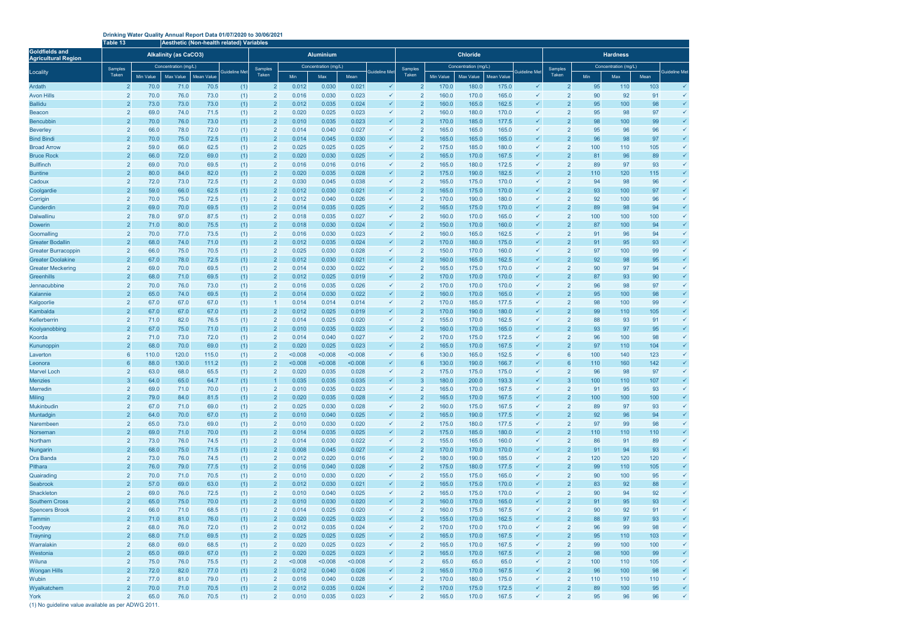## **Drinking Water Quality Annual Report Data 01/07/2020 to 30/06/2021**

|                                                     | Table 13                         | Aesthetic (Non-health related) Variables |                              |               |                      |                                  |                |                      |                |                              |                                  |                |                      |                |                              |                                  |           |                      |           |                              |  |  |
|-----------------------------------------------------|----------------------------------|------------------------------------------|------------------------------|---------------|----------------------|----------------------------------|----------------|----------------------|----------------|------------------------------|----------------------------------|----------------|----------------------|----------------|------------------------------|----------------------------------|-----------|----------------------|-----------|------------------------------|--|--|
| <b>Goldfields and</b><br><b>Agricultural Region</b> |                                  |                                          | <b>Alkalinity (as CaCO3)</b> |               |                      |                                  |                | <b>Aluminium</b>     |                |                              |                                  |                | <b>Chloride</b>      |                | <b>Hardness</b>              |                                  |           |                      |           |                              |  |  |
| Locality                                            | Samples                          |                                          | Concentration (mg/L)         |               | <b>Guideline Met</b> | Samples                          |                | Concentration (mg/L) |                | <b>Guideline Met</b>         | Samples                          |                | Concentration (mq/L) |                | Guideline Met                | Samples                          |           | Concentration (mg/L) |           | <b>Guideline Met</b>         |  |  |
|                                                     | Taken                            | Min Value                                | <b>Max Value</b>             | Mean Value    |                      | Taken                            | Min            | Max                  | Mean           |                              | Taken                            | Min Value      | Max Value            | Mean Value     |                              | Taken                            | Min       | Max                  | Mean      |                              |  |  |
| Ardath                                              | $\overline{2}$                   | 70.0                                     | 71.0                         | 70.5          | (1)                  | $\overline{2}$                   | 0.012          | 0.030                | 0.021          | $\checkmark$                 | $\overline{2}$                   | 170.0          | 180.0                | 175.0          | ✓                            | $\overline{2}$                   | 95        | 110                  | 103       | $\checkmark$                 |  |  |
| <b>Avon Hills</b>                                   | $\overline{2}$                   | 70.0                                     | 76.0                         | 73.0          | (1)                  | $\overline{2}$                   | 0.016          | 0.030                | 0.023          | $\checkmark$                 | $\overline{2}$                   | 160.0          | 170.0                | 165.0          | ✓                            |                                  | 90        | 92                   | 91        | $\checkmark$                 |  |  |
| <b>Ballidu</b>                                      | $\overline{2}$                   | 73.0                                     | 73.0                         | 73.0          | (1)                  | $\overline{2}$                   | 0.012          | 0.035                | 0.024          | $\checkmark$                 | $\overline{2}$                   | 160.0          | 165.0                | 162.5          | ✓                            |                                  | 95        | 100                  | 98        | $\checkmark$                 |  |  |
| Beacon                                              | $\overline{2}$                   | 69.0                                     | 74.0                         | 71.5          | (1)                  | $\overline{2}$                   | 0.020          | 0.025                | 0.023          | $\checkmark$                 | $\overline{2}$                   | 160.0          | 180.0                | 170.0          | ✓                            |                                  | 95        | 98                   | 97        | $\checkmark$                 |  |  |
| Bencubbin                                           | $\overline{2}$                   | 70.0                                     | 76.0                         | 73.0          | (1)                  | $\overline{2}$                   | 0.010          | 0.035                | 0.023          | $\checkmark$                 | $\overline{2}$                   | 170.0          | 185.0                | 177.5          |                              |                                  | 98        | 100                  | 99        | $\checkmark$                 |  |  |
| <b>Beverley</b>                                     | $\overline{2}$                   | 66.0                                     | 78.0                         | 72.0          | (1)                  | $\overline{2}$                   | 0.014          | 0.040                | 0.027          | $\checkmark$                 | $\overline{2}$                   | 165.0          | 165.0                | 165.0          | $\checkmark$                 |                                  | 95        | 96                   | 96        | $\checkmark$                 |  |  |
| <b>Bind Bindi</b>                                   | $\overline{2}$                   | 70.0                                     | 75.0                         | 72.5          | (1)                  | $\overline{2}$                   | 0.014          | 0.045                | 0.030          | $\checkmark$                 | $\overline{2}$                   | 165.0          | 165.0                | 165.0          |                              |                                  | 96        | 98                   | 97        | $\checkmark$                 |  |  |
| <b>Broad Arrow</b>                                  | $\overline{2}$<br>$\overline{2}$ | 59.0                                     | 66.0<br>72.0                 | 62.5          | (1)                  | $\overline{2}$<br>$\overline{2}$ | 0.025<br>0.020 | 0.025                | 0.025<br>0.025 | $\checkmark$<br>$\checkmark$ | $\overline{2}$<br>$\overline{2}$ | 175.0<br>165.0 | 185.0<br>170.0       | 180.0<br>167.5 | ✓                            |                                  | 100<br>81 | 110<br>96            | 105<br>89 | $\checkmark$                 |  |  |
| <b>Bruce Rock</b><br><b>Bullfinch</b>               | $\overline{2}$                   | 66.0<br>69.0                             | 70.0                         | 69.0<br>69.5  | (1)<br>(1)           | 2                                | 0.016          | 0.030<br>0.016       | 0.016          | $\checkmark$                 | $\overline{2}$                   | 165.0          | 180.0                | 172.5          | ✓                            |                                  | 89        | 97                   | 93        | $\checkmark$                 |  |  |
| <b>Buntine</b>                                      | $\overline{2}$                   | 80.0                                     | 84.0                         | 82.0          | (1)                  | $\overline{2}$                   | 0.020          | 0.035                | 0.028          | $\checkmark$                 | $\overline{2}$                   | 175.0          | 190.0                | 182.5          | $\checkmark$                 |                                  | 110       | 120                  | 115       | $\checkmark$                 |  |  |
| Cadoux                                              | $\overline{2}$                   | 72.0                                     | 73.0                         | 72.5          | (1)                  | $\overline{2}$                   | 0.030          | 0.045                | 0.038          | $\checkmark$                 | $\overline{2}$                   | 165.0          | 175.0                | 170.0          | $\checkmark$                 | $\overline{2}$                   | 94        | 98                   | 96        | $\checkmark$                 |  |  |
| Coolgardie                                          | $\overline{2}$                   | 59.0                                     | 66.0                         | 62.5          | (1)                  | $\overline{2}$                   | 0.012          | 0.030                | 0.021          | $\checkmark$                 | $\overline{2}$                   | 165.0          | 175.0                | 170.0          | ✓                            |                                  | 93        | 100                  | 97        | $\checkmark$                 |  |  |
| Corrigin                                            | $\overline{2}$                   | 70.0                                     | 75.0                         | 72.5          | (1)                  | $\overline{2}$                   | 0.012          | 0.040                | 0.026          | $\checkmark$                 | $\overline{2}$                   | 170.0          | 190.0                | 180.0          | ✓                            |                                  | 92        | 100                  | 96        | $\checkmark$                 |  |  |
| Cunderdin                                           | $\overline{2}$                   | 69.0                                     | 70.0                         | 69.5          | (1)                  | $\overline{2}$                   | 0.014          | 0.035                | 0.025          | $\checkmark$                 | $\overline{2}$                   | 165.0          | 175.0                | 170.0          | ✓                            |                                  | 89        | 98                   | 94        | $\checkmark$                 |  |  |
| <b>Dalwallinu</b>                                   | $\overline{2}$                   | 78.0                                     | 97.0                         | 87.5          | (1)                  | $\overline{2}$                   | 0.018          | 0.035                | 0.027          | $\checkmark$                 | $\overline{2}$                   | 160.0          | 170.0                | 165.0          | $\checkmark$                 | $\overline{2}$                   | 100       | 100                  | 100       | $\checkmark$                 |  |  |
| Dowerin                                             | $\overline{2}$                   | 71.0                                     | 80.0                         | 75.5          | (1)                  | $\overline{2}$                   | 0.018          | 0.030                | 0.024          | $\checkmark$                 | $\overline{2}$                   | 150.0          | 170.0                | 160.0          | $\checkmark$                 | $\overline{2}$                   | 87        | 100                  | 94        | $\checkmark$                 |  |  |
| Goomalling                                          | $\overline{2}$                   | 70.0                                     | 77.0                         | 73.5          | (1)                  | $\overline{2}$                   | 0.016          | 0.030                | 0.023          | $\checkmark$                 | $\overline{2}$                   | 160.0          | 165.0                | 162.5          | ✓                            |                                  | 91        | 96                   | 94        | $\checkmark$                 |  |  |
| <b>Greater Bodallin</b>                             | $\overline{2}$                   | 68.0                                     | 74.0                         | 71.0          | (1)                  | $\overline{2}$                   | 0.012          | 0.035                | 0.024          | $\checkmark$                 | $\overline{2}$                   | 170.0          | 180.0                | 175.0          | $\checkmark$                 |                                  | 91        | 95                   | 93        | $\checkmark$                 |  |  |
| <b>Greater Burracoppin</b>                          | $\overline{2}$                   | 66.0                                     | 75.0                         | 70.5          | (1)                  | 2                                | 0.025          | 0.030                | 0.028          | $\checkmark$                 | $\overline{2}$                   | 150.0          | 170.0                | 160.0          | ✓                            |                                  | 97        | 100                  | 99        | $\checkmark$                 |  |  |
| <b>Greater Doolakine</b>                            | $\overline{2}$                   | 67.0                                     | 78.0                         | 72.5          | (1)                  | $\overline{2}$                   | 0.012          | 0.030                | 0.021          | $\checkmark$                 | $\overline{2}$                   | 160.0          | 165.0                | 162.5          | $\checkmark$                 |                                  | 92        | 98                   | 95        | $\checkmark$                 |  |  |
| <b>Greater Meckering</b>                            | $\overline{2}$                   | 69.0                                     | 70.0                         | 69.5          | (1)                  | $\overline{2}$                   | 0.014          | 0.030                | 0.022          | $\checkmark$                 | $\overline{2}$                   | 165.0          | 175.0                | 170.0          | ✓                            |                                  | 90        | 97                   | 94        | $\checkmark$                 |  |  |
| Greenhills                                          | $\overline{2}$                   | 68.0                                     | 71.0                         | 69.5          | (1)                  | 2                                | 0.012          | 0.025                | 0.019          | $\checkmark$                 | $\overline{2}$                   | 170.0          | 170.0                | 170.0          | ✓                            |                                  | 87        | 93                   | 90        | $\checkmark$                 |  |  |
| Jennacubbine                                        | $\overline{2}$                   | 70.0                                     | 76.0                         | 73.0          | (1)                  | $\overline{2}$                   | 0.016          | 0.035                | 0.026          | $\checkmark$                 | $\overline{2}$                   | 170.0          | 170.0                | 170.0          | ✓                            |                                  | 96        | 98                   | 97        | $\checkmark$                 |  |  |
| Kalannie                                            | $\overline{2}$                   | 65.0                                     | 74.0                         | 69.5          | (1)                  | 2                                | 0.014          | 0.030                | 0.022          | $\checkmark$                 | $\overline{2}$                   | 160.0          | 170.0                | 165.0          |                              |                                  | 95        | 100                  | 98        | $\checkmark$                 |  |  |
| Kalgoorlie                                          | $\overline{2}$                   | 67.0                                     | 67.0                         | 67.0          | (1)                  |                                  | 0.014          | 0.014                | 0.014          | $\checkmark$                 | $\overline{2}$                   | 170.0          | 185.0                | 177.5          | $\checkmark$                 |                                  | 98        | 100                  | 99        | $\checkmark$                 |  |  |
| Kambalda                                            | $\overline{2}$                   | 67.0                                     | 67.0                         | 67.0          | (1)                  | $\overline{2}$                   | 0.012          | 0.025                | 0.019          | $\checkmark$                 | $\overline{2}$                   | 170.0          | 190.0                | 180.0          | $\checkmark$                 |                                  | 99        | 110                  | 105       | $\checkmark$                 |  |  |
| Kellerberrin                                        | $\overline{2}$                   | 71.0                                     | 82.0                         | 76.5          | (1)                  | $\overline{2}$                   | 0.014          | 0.025                | 0.020          | $\checkmark$                 | $\overline{2}$                   | 155.0          | 170.0                | 162.5          | ✓                            |                                  | 88        | 93                   | 91        |                              |  |  |
| Koolyanobbing                                       | $\overline{2}$                   | 67.0                                     | 75.0                         | 71.0          | (1)                  | $\overline{2}$                   | 0.010          | 0.035                | 0.023          | $\checkmark$                 | $\overline{2}$                   | 160.0          | 170.0                | 165.0          |                              |                                  | 93        | 97                   | 95        | $\checkmark$                 |  |  |
| Koorda                                              | $\overline{2}$<br>$\overline{2}$ | 71.0<br>68.0                             | 73.0<br>70.0                 | 72.0          | (1)                  | $\overline{2}$<br>$\overline{2}$ | 0.014<br>0.020 | 0.040                | 0.027<br>0.023 | $\checkmark$<br>$\checkmark$ | $\overline{2}$<br>$\overline{2}$ | 170.0<br>165.0 | 175.0<br>170.0       | 172.5          | ✓<br>$\checkmark$            |                                  | 96<br>97  | 100<br>110           | 98<br>104 | $\checkmark$<br>$\checkmark$ |  |  |
| Kununoppin                                          | 6                                | 110.0                                    | 120.0                        | 69.0<br>115.0 | (1)                  | $\overline{2}$                   | < 0.008        | 0.025<br>< 0.008     | 0.008          | $\checkmark$                 | 6                                | 130.0          | 165.0                | 167.5<br>152.5 | ✓                            | 6                                | 100       | 140                  | 123       | $\checkmark$                 |  |  |
| Laverton<br>Leonora                                 | 6                                | 88.0                                     | 130.0                        | 111.2         | (1)<br>(1)           | $\overline{2}$                   | < 0.008        | < 0.008              | < 0.008        | ✓                            | 6                                | 130.0          | 190.0                | 166.7          | $\checkmark$                 |                                  | 110       | 160                  | 142       | $\checkmark$                 |  |  |
| <b>Marvel Loch</b>                                  | $\overline{2}$                   | 63.0                                     | 68.0                         | 65.5          | (1)                  | $\overline{2}$                   | 0.020          | 0.035                | 0.028          | $\checkmark$                 | $\overline{2}$                   | 175.0          | 175.0                | 175.0          |                              |                                  | 96        | 98                   | 97        | ✓                            |  |  |
| <b>Menzies</b>                                      | 3                                | 64.0                                     | 65.0                         | 64.7          | (1)                  | $\mathbf{1}$                     | 0.035          | 0.035                | 0.035          | $\checkmark$                 | 3                                | 180.0          | 200.0                | 193.3          |                              |                                  | 100       | 110                  | 107       |                              |  |  |
| <b>Merredin</b>                                     | $\overline{2}$                   | 69.0                                     | 71.0                         | 70.0          | (1)                  | $\overline{2}$                   | 0.010          | 0.035                | 0.023          | $\checkmark$                 | $\overline{2}$                   | 165.0          | 170.0                | 167.5          | ✓                            | $\overline{2}$                   | 91        | 95                   | 93        |                              |  |  |
| <b>Miling</b>                                       | $\overline{2}$                   | 79.0                                     | 84.0                         | 81.5          | (1)                  | $\overline{2}$                   | 0.020          | 0.035                | 0.028          | $\checkmark$                 | $\overline{2}$                   | 165.0          | 170.0                | 167.5          | $\checkmark$                 | $\overline{2}$                   | 100       | 100                  | 100       |                              |  |  |
| Mukinbudin                                          | $\overline{2}$                   | 67.0                                     | 71.0                         | 69.0          | (1)                  | $\overline{2}$                   | 0.025          | 0.030                | 0.028          | $\checkmark$                 | $\overline{2}$                   | 160.0          | 175.0                | 167.5          | $\checkmark$                 | $\overline{2}$                   | 89        | 97                   | 93        |                              |  |  |
| Muntadgin                                           | $\overline{2}$                   | 64.0                                     | 70.0                         | 67.0          | (1)                  | $\overline{2}$                   | 0.010          | 0.040                | 0.025          | $\checkmark$                 | $\overline{2}$                   | 165.0          | 190.0                | 177.5          | $\checkmark$                 | $\overline{2}$                   | 92        | 96                   | 94        |                              |  |  |
| Narembeen                                           | $\overline{2}$                   | 65.0                                     | 73.0                         | 69.0          | (1)                  | $\overline{2}$                   | 0.010          | 0.030                | 0.020          | $\checkmark$                 | $\overline{2}$                   | 175.0          | 180.0                | 177.5          | $\checkmark$                 | $\overline{2}$                   | 97        | 99                   | 98        |                              |  |  |
| Norseman                                            | $\overline{2}$                   | 69.0                                     | 71.0                         | 70.0          | (1)                  | $\overline{2}$                   | 0.014          | 0.035                | 0.025          | $\checkmark$                 | $\overline{2}$                   | 175.0          | 185.0                | 180.0          | $\checkmark$                 | $\overline{2}$                   | 110       | 110                  | 110       |                              |  |  |
| Northam                                             | $\overline{2}$                   | 73.0                                     | 76.0                         | 74.5          | (1)                  | $\overline{2}$                   | 0.014          | 0.030                | 0.022          | $\checkmark$                 | $\overline{2}$                   | 155.0          | 165.0                | 160.0          | $\checkmark$                 | $\overline{2}$                   | 86        | 91                   | 89        | $\checkmark$                 |  |  |
| Nungarin                                            | $\overline{2}$                   | 68.0                                     | 75.0                         | 71.5          | (1)                  | $\overline{2}$                   | 0.008          | 0.045                | 0.027          | $\checkmark$                 | $\overline{2}$                   | 170.0          | 170.0                | 170.0          | $\checkmark$                 | $\overline{2}$                   | 91        | 94                   | 93        | $\checkmark$                 |  |  |
| Ora Banda                                           | $\overline{2}$                   | 73.0                                     | 76.0                         | 74.5          | (1)                  | $\overline{2}$                   | 0.012          | 0.020                | 0.016          | $\checkmark$                 | $\overline{2}$                   | 180.0          | 190.0                | 185.0          | $\checkmark$                 | $\overline{2}$                   | 120       | 120                  | 120       | ✓                            |  |  |
| Pithara                                             | $\overline{2}$                   | 76.0                                     | 79.0                         | 77.5          | (1)                  | $\overline{2}$                   | 0.016          | 0.040                | 0.028          | $\checkmark$                 | $\overline{2}$                   | 175.0          | 180.0                | 177.5          | $\checkmark$                 | $\overline{2}$                   | 99        | 110                  | 105       | $\checkmark$                 |  |  |
| Quairading                                          | $\overline{2}$                   | 70.0                                     | 71.0                         | 70.5          | (1)                  | $\overline{2}$                   | 0.010          | 0.030                | 0.020          | $\checkmark$                 | $\overline{2}$                   | 155.0          | 175.0                | 165.0          | $\checkmark$                 | $\overline{2}$                   | 90        | 100                  | 95        | $\checkmark$                 |  |  |
| Seabrook                                            | $\overline{2}$                   | 57.0                                     | 69.0                         | 63.0          | (1)                  | $\overline{2}$                   | 0.012          | 0.030                | 0.021          | $\checkmark$                 | $\overline{2}$                   | 165.0          | 175.0                | 170.0          | $\checkmark$                 | $\overline{2}$                   | 83        | 92                   | 88        | $\checkmark$                 |  |  |
| Shackleton                                          | $\overline{2}$                   | 69.0                                     | 76.0                         | 72.5          | (1)                  | $\overline{2}$                   | 0.010          | 0.040                | 0.025          | $\checkmark$                 | $\overline{2}$                   | 165.0          | 175.0                | 170.0          | $\checkmark$                 | $\overline{2}$                   | 90        | 94                   | 92        |                              |  |  |
| <b>Southern Cross</b>                               | $\overline{2}$                   | 65.0                                     | 75.0                         | 70.0          | (1)                  | $\overline{2}$                   | 0.010          | 0.030                | 0.020          | $\checkmark$<br>$\checkmark$ | $\overline{2}$                   | 160.0          | 170.0                | 165.0          | $\checkmark$<br>$\checkmark$ | $\overline{2}$                   | 91        | 95                   | 93        |                              |  |  |
| <b>Spencers Brook</b>                               | $\overline{2}$<br>$\overline{2}$ | 66.0                                     | 71.0                         | 68.5          | (1)                  | $\overline{2}$<br>$\overline{2}$ | 0.014<br>0.020 | 0.025                | 0.020          | $\checkmark$                 | $\overline{2}$<br>$\overline{2}$ | 160.0<br>155.0 | 175.0<br>170.0       | 167.5<br>162.5 | $\checkmark$                 | $\overline{2}$<br>$\overline{2}$ | 90        | 92                   | 91        |                              |  |  |
| Tammin                                              | $\overline{2}$                   | 71.0<br>68.0                             | 81.0<br>76.0                 | 76.0<br>72.0  | (1)                  | $\overline{2}$                   | 0.012          | 0.025<br>0.035       | 0.023<br>0.024 | $\checkmark$                 | $\overline{2}$                   | 170.0          | 170.0                | 170.0          | $\checkmark$                 | $\overline{2}$                   | 88<br>96  | 97<br>99             | 93<br>98  | ✓                            |  |  |
| Toodyay<br><b>Trayning</b>                          | $\overline{2}$                   | 68.0                                     | 71.0                         | 69.5          | (1)                  | $\overline{2}$                   | 0.025          | 0.025                | 0.025          | $\checkmark$                 | $\overline{2}$                   | 165.0          | 170.0                | 167.5          | $\checkmark$                 |                                  | 95        | 110                  | 103       | ✓                            |  |  |
| Warralakin                                          | $\overline{2}$                   | 68.0                                     | 69.0                         | 68.5          | (1)<br>(1)           | $\overline{2}$                   | 0.020          | 0.025                | 0.023          | $\checkmark$                 | $\overline{2}$                   | 165.0          | 170.0                | 167.5          | $\checkmark$                 | $\overline{2}$                   | 99        | 100                  | 100       |                              |  |  |
| Westonia                                            | $\overline{2}$                   | 65.0                                     | 69.0                         | 67.0          | (1)                  | $\overline{2}$                   | 0.020          | 0.025                | 0.023          | $\checkmark$                 | $\overline{2}$                   | 165.0          | 170.0                | 167.5          | $\checkmark$                 | $\overline{2}$                   | 98        | 100                  | 99        | ✓                            |  |  |
| Wiluna                                              | $\overline{2}$                   | 75.0                                     | 76.0                         | 75.5          | (1)                  | $\overline{2}$                   | < 0.008        | < 0.008              | 0.008          | $\checkmark$                 | $\overline{2}$                   | 65.0           | 65.0                 | 65.0           | $\checkmark$                 | $\overline{2}$                   | 100       | 110                  | 105       |                              |  |  |
| <b>Wongan Hills</b>                                 | $\overline{2}$                   | 72.0                                     | 82.0                         | 77.0          | (1)                  | $\overline{2}$                   | 0.012          | 0.040                | 0.026          | $\checkmark$                 | $\overline{2}$                   | 165.0          | 170.0                | 167.5          | $\checkmark$                 | $\overline{2}$                   | 96        | 100                  | 98        |                              |  |  |
| Wubin                                               | $\overline{2}$                   | 77.0                                     | 81.0                         | 79.0          | (1)                  | $\overline{2}$                   | 0.016          | 0.040                | 0.028          | $\checkmark$                 | $\overline{2}$                   | 170.0          | 180.0                | 175.0          | $\checkmark$                 | $\overline{2}$                   | 110       | 110                  | 110       |                              |  |  |
| Wyalkatchem                                         | $\overline{2}$                   | 70.0                                     | 71.0                         | 70.5          | (1)                  | $\overline{2}$                   | 0.012          | 0.035                | 0.024          | $\checkmark$                 | $\overline{2}$                   | 170.0          | 175.0                | 172.5          | $\checkmark$                 |                                  | 89        | 100                  | 95        |                              |  |  |
| York                                                | $\overline{2}$                   | 65.0                                     | 76.0                         | 70.5          | (1)                  | $\overline{2}$                   | 0.010          | 0.035                | 0.023          | $\checkmark$                 | $\overline{2}$                   | 165.0          | 170.0                | 167.5          | $\checkmark$                 | $\overline{2}$                   | 95        | 96                   | 96        |                              |  |  |

(1) No guideline value available as per ADWG 2011.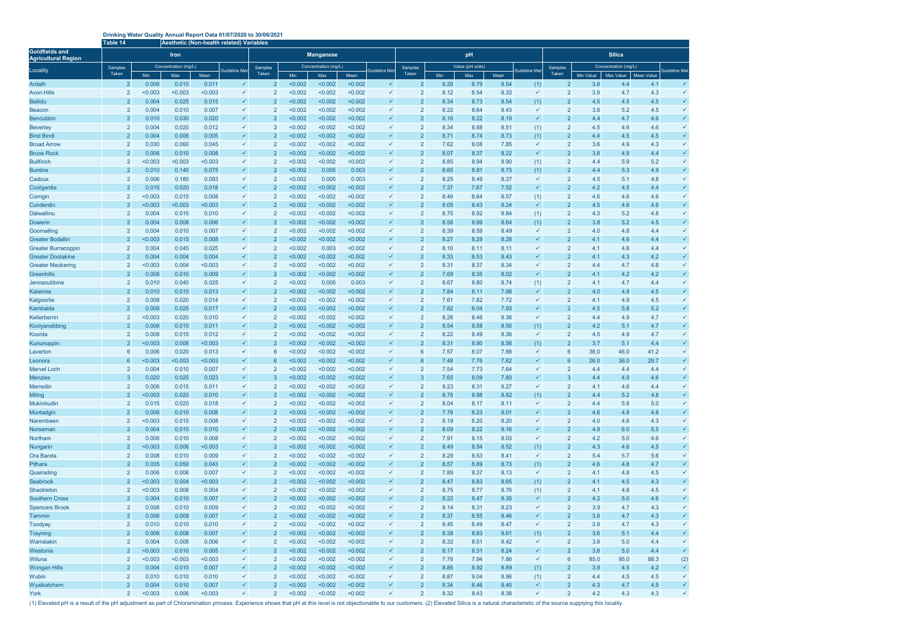## **Drinking Water Quality Annual Report Data 01/07/2020 to 30/06/2021**

|                                                     |                                  | Table 14<br>Aesthetic (Non-health related) Variables |                      |                  |                              |                                  |                    |                      |                    |                              |                                  |              |                  |              |                              |                                  |                  |                         |                          |                              |  |
|-----------------------------------------------------|----------------------------------|------------------------------------------------------|----------------------|------------------|------------------------------|----------------------------------|--------------------|----------------------|--------------------|------------------------------|----------------------------------|--------------|------------------|--------------|------------------------------|----------------------------------|------------------|-------------------------|--------------------------|------------------------------|--|
| <b>Goldfields and</b><br><b>Agricultural Region</b> |                                  |                                                      | <b>Iron</b>          |                  |                              |                                  |                    | <b>Manganese</b>     |                    |                              | pH                               |              |                  |              |                              | <b>Silica</b>                    |                  |                         |                          |                              |  |
| Locality                                            | Samples<br>Taken                 |                                                      | Concentration (mg/L) |                  | Guideline Met                | Samples<br>Taken                 |                    | Concentration (mg/L) |                    | <b>Guideline Me</b>          | Samples<br>Taken                 |              | Value (pH units) |              | Guideline Met                | Samples<br>Taken                 |                  | Concentration (mg/L)    |                          | <b>Guideline Me</b>          |  |
| Ardath                                              | $\overline{2}$                   | Min<br>0.006                                         | Max<br>0.015         | Mean<br>0.011    | $\checkmark$                 | $\overline{2}$                   | Min<br>< 0.002     | Max<br>< 0.002       | Mean<br>< 0.002    | ✓                            | 2                                | Min<br>8.29  | Max<br>8.79      | Mean<br>8.54 | (1)                          | $\overline{2}$                   | Min Value<br>3.8 | <b>Max Value</b><br>4.4 | <b>Mean Value</b><br>4.1 | ✓                            |  |
| <b>Avon Hills</b>                                   | $\overline{2}$                   | < 0.003                                              | < 0.003              | < 0.003          | $\checkmark$                 |                                  | < 0.002            | < 0.002              | < 0.002            | ✓                            | 2                                | 8.12         | 8.54             | 8.33         |                              |                                  | 3.9              | 4.7                     | 4.3                      |                              |  |
| <b>Ballidu</b>                                      | $\overline{2}$                   | 0.004                                                | 0.025                | 0.015            | $\checkmark$                 | $\overline{2}$                   | < 0.002            | < 0.002              | < 0.002            | ✓                            | $\overline{2}$                   | 8.34         | 8.73             | 8.54         | (1)                          | $\overline{2}$                   | 4.5              | 4.5                     | 4.5                      |                              |  |
| <b>Beacon</b>                                       | $\overline{2}$                   | 0.004                                                | 0.010                | 0.007            | $\checkmark$                 | $\overline{2}$                   | < 0.002            | < 0.002              | < 0.002            | ✓                            | $\overline{2}$                   | 8.22         | 8.64             | 8.43         | $\checkmark$                 |                                  | 3.8              | 5.2                     | 4.5                      | ✓                            |  |
| Bencubbin                                           | $\overline{2}$                   | 0.010                                                | 0.030                | 0.020            | $\checkmark$                 | $\overline{2}$                   | < 0.002            | < 0.002              | < 0.002            | ✓                            | $\overline{2}$                   | 8.16         | 8.22             | 8.19         | $\checkmark$                 | $\overline{2}$                   | 4.4              | 4.7                     | 4.6                      | $\checkmark$                 |  |
| <b>Beverley</b>                                     | $\overline{2}$                   | 0.004                                                | 0.020                | 0.012            | $\checkmark$                 | $\overline{2}$                   | < 0.002            | < 0.002              | < 0.002            | ✓                            | $\overline{2}$                   | 8.34         | 8.68             | 8.51         | (1)                          |                                  | 4.5              | 4.6                     | 4.6                      | $\checkmark$                 |  |
| <b>Bind Bindi</b>                                   | $\overline{2}$                   | 0.004                                                | 0.006                | 0.005            | $\checkmark$                 | $\mathcal{P}$                    | < 0.002            | < 0.002              | < 0.002            | ✓                            | $\overline{2}$                   | 8.71         | 8.74             | 8.73         | (1)                          |                                  | 4.4              | 4.5                     | 4.5                      | $\checkmark$                 |  |
| <b>Broad Arrow</b>                                  | $\overline{2}$                   | 0.030                                                | 0.060                | 0.045            | $\checkmark$                 | $\overline{2}$                   | < 0.002            | < 0.002              | < 0.002            | ✓                            | $\overline{2}$                   | 7.62         | 8.08             | 7.85         | $\checkmark$                 | $\overline{2}$                   | 3.6              | 4.9                     | 4.3                      | ✓                            |  |
| <b>Bruce Rock</b>                                   | $\overline{2}$                   | 0.006                                                | 0.010                | 0.008            | $\checkmark$                 | $\overline{2}$                   | < 0.002            | < 0.002              | < 0.002            | ✓                            | $\overline{2}$                   | 8.07         | 8.37             | 8.22         | $\checkmark$                 |                                  | 3.8              | 4.9                     | 4.4                      | $\checkmark$                 |  |
| <b>Bullfinch</b>                                    | $\overline{2}$                   | < 0.003                                              | < 0.003              | < 0.003          | $\checkmark$                 | $\overline{2}$<br>$\overline{2}$ | < 0.002            | < 0.002              | < 0.002            | ✓<br>✓                       | $\overline{2}$                   | 8.85         | 8.94             | 8.90         | (1)                          | $\overline{2}$                   | 4.4              | 5.9                     | 5.2                      | $\checkmark$<br>$\checkmark$ |  |
| <b>Buntine</b><br>Cadoux                            | $\overline{2}$<br>$\overline{2}$ | 0.010<br>0.006                                       | 0.140<br>0.180       | 0.075<br>0.093   | $\checkmark$<br>$\checkmark$ | $\overline{2}$                   | < 0.002<br>< 0.002 | 0.005<br>0.005       | 0.003<br>0.003     | ✓                            | $\overline{2}$<br>$\overline{2}$ | 8.65<br>8.25 | 8.81<br>8.49     | 8.73<br>8.37 | (1)<br>$\checkmark$          | $\overline{2}$<br>$\overline{2}$ | 4.4<br>4.5       | 5.3<br>5.1              | 4.9<br>4.8               | $\checkmark$                 |  |
| Coolgardie                                          | $\overline{2}$                   | 0.015                                                | 0.020                | 0.018            | $\checkmark$                 | $\overline{2}$                   | < 0.002            | < 0.002              | < 0.002            | ✓                            | $\overline{2}$                   | 7.37         | 7.67             | 7.52         |                              | $\overline{2}$                   | 4.2              | 4.5                     | 4.4                      | $\checkmark$                 |  |
| Corrigin                                            | $\overline{2}$                   | < 0.003                                              | 0.015                | 0.008            | $\checkmark$                 | $\overline{2}$                   | < 0.002            | < 0.002              | < 0.002            | ✓                            | $\overline{2}$                   | 8.49         | 8.64             | 8.57         | (1)                          | $\overline{2}$                   | 4.6              | 4.6                     | 4.6                      | ✓                            |  |
| Cunderdin                                           | $\overline{2}$                   | < 0.003                                              | < 0.003              | < 0.003          | $\checkmark$                 | $\overline{2}$                   | < 0.002            | < 0.002              | < 0.002            | ✓                            | $\overline{2}$                   | 8.05         | 8.43             | 8.24         | $\checkmark$                 | $\overline{2}$                   | 4.5              | 4.6                     | 4.6                      | $\checkmark$                 |  |
| <b>Dalwallinu</b>                                   | $\overline{2}$                   | 0.004                                                | 0.015                | 0.010            | $\checkmark$                 | $\overline{2}$                   | < 0.002            | < 0.002              | < 0.002            | ✓                            | $\overline{2}$                   | 8.75         | 8.92             | 8.84         | (1)                          | $\overline{2}$                   | 4.3              | 5.2                     | 4.8                      | $\checkmark$                 |  |
| Dowerin                                             | $\overline{2}$                   | 0.004                                                | 0.008                | 0.006            | $\checkmark$                 | $\overline{2}$                   | < 0.002            | < 0.002              | < 0.002            | ✓                            | $\overline{2}$                   | 8.58         | 8.69             | 8.64         | (1)                          |                                  | 3.8              | 5.2                     | 4.5                      | $\checkmark$                 |  |
| Goomalling                                          | $\overline{2}$                   | 0.004                                                | 0.010                | 0.007            | $\checkmark$                 | $\overline{2}$                   | < 0.002            | < 0.002              | < 0.002            |                              | $\overline{2}$                   | 8.39         | 8.59             | 8.49         | $\checkmark$                 | $\overline{2}$                   | 4.0              | 4.8                     | 4.4                      | ✓                            |  |
| <b>Greater Bodallin</b>                             | $\overline{2}$                   | < 0.003                                              | 0.015                | 0.008            | $\checkmark$                 | $\overline{2}$                   | < 0.002            | < 0.002              | < 0.002            | ✓                            |                                  | 8.27         | 8.29             | 8.28         |                              |                                  | 4.1              | 4.6                     | 4.4                      | ✓                            |  |
| <b>Greater Burracoppin</b>                          | $\overline{2}$                   | 0.004                                                | 0.045                | 0.025            | $\checkmark$                 | $\overline{2}$                   | < 0.002            | 0.003                | < 0.002            | ✓                            | $\overline{2}$                   | 8.10         | 8.11             | 8.11         | $\checkmark$                 | $\overline{2}$                   | 4.1              | 4.6                     | 4.4                      | $\checkmark$                 |  |
| <b>Greater Doolakine</b>                            | $\overline{2}$                   | 0.004                                                | 0.004                | 0.004            | $\checkmark$                 | $\overline{2}$                   | < 0.002            | < 0.002              | < 0.002            |                              | $\overline{2}$                   | 8.33         | 8.53             | 8.43         |                              | $\overline{2}$                   | 4.1              | 4.3                     | 4.2                      |                              |  |
| <b>Greater Meckering</b>                            | $\overline{2}$                   | < 0.003                                              | 0.004                | < 0.003          | $\checkmark$                 | $\overline{2}$                   | < 0.002            | < 0.002              | < 0.002            | ✓                            | $\overline{2}$                   | 8.31         | 8.37             | 8.34         | $\checkmark$                 | $\overline{2}$                   | 4.4              | 4.7                     | 4.6                      |                              |  |
| <b>Greenhills</b>                                   | $\overline{2}$                   | 0.008                                                | 0.010                | 0.009            | $\checkmark$                 | $\overline{2}$                   | < 0.002            | < 0.002              | < 0.002            | ✓                            | $\overline{2}$                   | 7.69         | 8.35             | 8.02         |                              | $\mathcal{P}$                    | 4.1              | 4.2                     | 4.2                      |                              |  |
| Jennacubbine                                        | $\overline{2}$                   | 0.010                                                | 0.040                | 0.025            | $\checkmark$                 | $\overline{2}$                   | < 0.002            | 0.005                | 0.003              | ✓                            | $\overline{2}$                   | 8.67         | 8.80             | 8.74         | (1)                          | 2                                | 4.1              | 4.7                     | 4.4                      | ✓                            |  |
| Kalannie                                            | $\overline{2}$                   | 0.010                                                | 0.015                | 0.013            | $\checkmark$                 | $\overline{2}$                   | < 0.002            | < 0.002              | < 0.002            | ✓                            | $\overline{2}$                   | 7.84         | 8.11             | 7.98         | $\checkmark$                 |                                  | 4.0              | 4.9                     | 4.5                      | $\checkmark$                 |  |
| Kalgoorlie<br>Kambalda                              | $\overline{2}$<br>$\overline{2}$ | 0.008<br>0.008                                       | 0.020<br>0.025       | 0.014<br>0.017   | $\checkmark$<br>$\checkmark$ | $\overline{2}$<br>$\overline{2}$ | < 0.002<br>< 0.002 | < 0.002<br>< 0.002   | < 0.002<br>< 0.002 | ✓<br>✓                       | $\overline{2}$<br>$\overline{2}$ | 7.61<br>7.82 | 7.82<br>8.04     | 7.72<br>7.93 | $\checkmark$<br>$\checkmark$ | $\overline{2}$                   | 4.1<br>4.5       | 4.9<br>5.8              | 4.5<br>5.2               | $\checkmark$<br>$\checkmark$ |  |
| Kellerberrin                                        | $\overline{2}$                   | < 0.003                                              | 0.020                | 0.010            | $\checkmark$                 | $\overline{2}$                   | < 0.002            | < 0.002              | < 0.002            |                              | $\overline{2}$                   | 8.26         | 8.46             | 8.36         | $\checkmark$                 | $\overline{2}$                   | 4.4              | 4.9                     | 4.7                      | $\checkmark$                 |  |
| Koolyanobbing                                       | $\overline{2}$                   | 0.006                                                | 0.015                | 0.011            | $\checkmark$                 |                                  | < 0.002            | < 0.002              | < 0.002            | ✓                            | $\overline{2}$                   | 8.54         | 8.58             | 8.56         | (1)                          |                                  | 4.2              | 5.1                     | 4.7                      | $\checkmark$                 |  |
| Koorda                                              | $\overline{2}$                   | 0.008                                                | 0.015                | 0.012            | $\checkmark$                 | $\overline{2}$                   | < 0.002            | < 0.002              | < 0.002            | ✓                            | $\overline{2}$                   | 8.22         | 8.49             | 8.36         | $\checkmark$                 | $\overline{2}$                   | 4.5              | 4.9                     | 4.7                      | $\checkmark$                 |  |
| Kununoppin                                          | $\overline{2}$                   | < 0.003                                              | 0.006                | < 0.003          | $\checkmark$                 | $\overline{2}$                   | < 0.002            | < 0.002              | < 0.002            | ✓                            | $\overline{2}$                   | 8.31         | 8.80             | 8.56         | (1)                          | $\overline{2}$                   | 3.7              | 5.1                     | 4.4                      | $\checkmark$                 |  |
| Laverton                                            | 6                                | 0.006                                                | 0.020                | 0.013            | $\checkmark$                 | 6                                | < 0.002            | < 0.002              | < 0.002            | ✓                            | 6                                | 7.57         | 8.07             | 7.88         | $\checkmark$                 | 6                                | 38.0             | 46.0                    | 41.2                     | $\checkmark$                 |  |
| Leonora                                             | 6                                | < 0.003                                              | < 0.003              | < 0.003          | $\checkmark$                 | 6                                | < 0.002            | < 0.002              | < 0.002            | ✓                            | 6                                | 7.48         | 7.76             | 7.62         |                              | 6                                | 26.0             | 36.0                    | 29.7                     | $\checkmark$                 |  |
| <b>Marvel Loch</b>                                  | $\overline{2}$                   | 0.004                                                | 0.010                | 0.007            | $\checkmark$                 |                                  | < 0.002            | < 0.002              | < 0.002            | ✓                            |                                  | 7.54         | 7.73             | 7.64         |                              |                                  | 4.4              | 4.4                     | 4.4                      | ✓                            |  |
| <b>Menzies</b>                                      | 3                                | 0.020                                                | 0.025                | 0.023            | $\checkmark$                 | 3                                | < 0.002            | < 0.002              | < 0.002            | $\checkmark$                 | 3                                | 7.65         | 8.09             | 7.80         |                              | $\overline{\mathbf{3}}$          | 4.4              | 4.9                     | 4.6                      | ✓                            |  |
| <b>Merredin</b>                                     | $\overline{2}$                   | 0.006                                                | 0.015                | 0.011            | $\checkmark$                 | $\overline{2}$                   | < 0.002            | < 0.002              | < 0.002            | $\checkmark$                 | $\overline{2}$                   | 8.23         | 8.31             | 8.27         | $\checkmark$                 | $\overline{2}$                   | 4.1              | 4.6                     | 4.4                      |                              |  |
| <b>Miling</b>                                       | $\overline{2}$                   | < 0.003                                              | 0.020                | 0.010            | $\checkmark$                 | $\overline{2}$                   | < 0.002            | < 0.002              | < 0.002            | $\checkmark$                 | $\overline{2}$                   | 8.76         | 8.88             | 8.82         | (1)                          | $\overline{2}$                   | 4.4              | 5.2                     | 4.8                      | ✓                            |  |
| Mukinbudin                                          | $\overline{2}$                   | 0.015                                                | 0.020                | 0.018            | $\checkmark$                 | $\overline{2}$                   | < 0.002            | < 0.002              | < 0.002            | $\checkmark$                 | $\overline{2}$                   | 8.04         | 8.17             | 8.11         | $\checkmark$                 | $\overline{2}$                   | 4.4              | 5.6                     | 5.0                      | ✓                            |  |
| Muntadgin                                           | $\overline{2}$<br>$\overline{2}$ | 0.006<br>< 0.003                                     | 0.010                | 0.008            | $\checkmark$<br>$\checkmark$ | $\overline{2}$<br>$\overline{2}$ | < 0.002<br>< 0.002 | < 0.002<br>< 0.002   | < 0.002<br>< 0.002 | $\checkmark$<br>$\checkmark$ | $\overline{2}$<br>$\overline{2}$ | 7.79         | 8.23             | 8.01         | $\checkmark$<br>$\checkmark$ | $\overline{2}$<br>$\overline{2}$ | 4.6              | 4.9                     | 4.8                      | $\checkmark$<br>✓            |  |
| Narembeen                                           | $\overline{2}$                   | 0.004                                                | 0.015<br>0.015       | 0.008<br>0.010   | $\checkmark$                 | $\overline{2}$                   | < 0.002            | < 0.002              | < 0.002            | $\checkmark$                 | $\overline{2}$                   | 8.19<br>8.09 | 8.20<br>8.22     | 8.20<br>8.16 | $\checkmark$                 | $\overline{2}$                   | 4.0<br>4.9       | 4.6<br>6.0              | 4.3<br>5.5               | $\checkmark$                 |  |
| Norseman<br>Northam                                 | $\overline{2}$                   | 0.006                                                | 0.010                | 0.008            | $\checkmark$                 | $\overline{2}$                   | < 0.002            | < 0.002              | < 0.002            | ✓                            | $\overline{2}$                   | 7.91         | 8.15             | 8.03         | $\checkmark$                 | $\overline{2}$                   | 4.2              | 5.0                     | 4.6                      | $\checkmark$                 |  |
| Nungarin                                            | $\overline{2}$                   | < 0.003                                              | 0.006                | < 0.003          | $\checkmark$                 | $\overline{2}$                   | < 0.002            | < 0.002              | < 0.002            | $\checkmark$                 | $\overline{2}$                   | 8.49         | 8.54             | 8.52         | (1)                          | $\overline{2}$                   | 4.3              | 4.6                     | 4.5                      | $\checkmark$                 |  |
| Ora Banda                                           | $\overline{2}$                   | 0.008                                                | 0.010                | 0.009            | $\checkmark$                 | $\overline{2}$                   | < 0.002            | < 0.002              | < 0.002            | $\checkmark$                 | $\overline{2}$                   | 8.29         | 8.53             | 8.41         | $\checkmark$                 | $\overline{2}$                   | 5.4              | 5.7                     | 5.6                      | ✓                            |  |
| Pithara                                             | $\overline{2}$                   | 0.035                                                | 0.050                | 0.043            | $\checkmark$                 | $\overline{2}$                   | < 0.002            | < 0.002              | < 0.002            | $\checkmark$                 | $\overline{2}$                   | 8.57         | 8.89             | 8.73         | (1)                          | $\overline{2}$                   | 4.6              | 4.8                     | 4.7                      | $\checkmark$                 |  |
| Quairading                                          | $\overline{2}$                   | 0.006                                                | 0.008                | 0.007            | $\checkmark$                 | $\overline{2}$                   | < 0.002            | < 0.002              | < 0.002            | $\checkmark$                 | $\overline{2}$                   | 7.89         | 8.37             | 8.13         | $\checkmark$                 | $\overline{2}$                   | 4.1              | 4.8                     | 4.5                      | ✓                            |  |
| Seabrook                                            | $\overline{2}$                   | < 0.003                                              | 0.004                | < 0.003          | $\checkmark$                 | $\overline{2}$                   | < 0.002            | < 0.002              | < 0.002            | $\checkmark$                 | $\overline{2}$                   | 8.47         | 8.83             | 8.65         | (1)                          | $\overline{2}$                   | 4.1              | 4.5                     | 4.3                      | $\checkmark$                 |  |
| Shackleton                                          | $\overline{2}$                   | < 0.003                                              | 0.008                | 0.004            | $\checkmark$                 | $\overline{2}$                   | < 0.002            | < 0.002              | < 0.002            | $\checkmark$                 | $\overline{2}$                   | 8.75         | 8.77             | 8.76         | (1)                          | $\overline{2}$                   | 4.1              | 4.8                     | 4.5                      | ✓                            |  |
| <b>Southern Cross</b>                               | $\overline{2}$                   | 0.004                                                | 0.010                | 0.007            | $\checkmark$                 | $\overline{2}$                   | < 0.002            | < 0.002              | < 0.002            | $\checkmark$                 | $\overline{2}$                   | 8.22         | 8.47             | 8.35         | $\checkmark$                 | $\overline{2}$                   | 4.2              | 5.0                     | 4.6                      | $\checkmark$                 |  |
| <b>Spencers Brook</b>                               | $\overline{2}$                   | 0.008                                                | 0.010                | 0.009            | $\checkmark$                 | $\overline{2}$                   | < 0.002            | < 0.002              | < 0.002            | ✓                            | $\overline{2}$                   | 8.14         | 8.31             | 8.23         | $\checkmark$                 | $\overline{2}$                   | 3.9              | 4.7                     | 4.3                      | ✓                            |  |
| Tammin                                              | $\overline{2}$                   | 0.006                                                | 0.008                | 0.007            | $\checkmark$                 | $\overline{2}$                   | < 0.002            | < 0.002              | < 0.002            | $\checkmark$                 | $\overline{2}$                   | 8.37         | 8.55             | 8.46         | $\checkmark$                 | $\overline{2}$                   | 3.8              | 4.7                     | 4.3                      |                              |  |
| Toodyay                                             | $\overline{2}$                   | 0.010                                                | 0.010                | 0.010            | $\checkmark$                 | $\overline{2}$                   | < 0.002            | < 0.002              | < 0.002            | $\checkmark$                 | $\overline{2}$                   | 8.45         | 8.49             | 8.47         | $\checkmark$                 | $\overline{2}$                   | 3.9              | 4.7                     | 4.3                      |                              |  |
| Trayning                                            | $\overline{2}$                   | 0.006                                                | 0.008                | 0.007            | $\checkmark$                 | $\overline{2}$                   | < 0.002            | < 0.002              | < 0.002            | $\checkmark$                 | $\overline{2}$                   | 8.38         | 8.83             | 8.61         | (1)                          | $\overline{2}$                   | 3.6              | 5.1                     | 4.4                      |                              |  |
| Warralakin                                          | $\overline{2}$                   | 0.004                                                | 0.008                | 0.006            | $\checkmark$                 | $\overline{2}$                   | < 0.002            | < 0.002              | < 0.002            | $\checkmark$                 | $\overline{2}$                   | 8.32         | 8.51             | 8.42         | $\checkmark$                 | $\overline{2}$                   | 3.8              | 5.0                     | 4.4                      | $\checkmark$                 |  |
| Westonia                                            | $\overline{2}$                   | < 0.003                                              | 0.010                | 0.005            | $\checkmark$                 | $\overline{2}$                   | < 0.002            | < 0.002              | < 0.002            | $\checkmark$<br>$\checkmark$ | $\overline{2}$                   | 8.17         | 8.31             | 8.24         | $\checkmark$                 | $\overline{2}$                   | 3.8              | 5.0                     | 4.4                      | $\checkmark$                 |  |
| Wiluna<br><b>Wongan Hills</b>                       | $\overline{2}$<br>$\overline{2}$ | < 0.003<br>0.004                                     | < 0.003<br>0.010     | < 0.003<br>0.007 | $\checkmark$<br>$\checkmark$ | $\overline{2}$<br>$\overline{2}$ | < 0.002<br>< 0.002 | < 0.002<br>< 0.002   | < 0.002<br>< 0.002 | $\checkmark$                 | $\overline{2}$<br>$\overline{2}$ | 7.78<br>8.86 | 7.94<br>8.92     | 7.86<br>8.89 | $\checkmark$<br>(1)          | 6<br>$\overline{2}$              | 85.0<br>3.9      | 95.0<br>4.5             | 88.3<br>4.2              | (2)<br>$\checkmark$          |  |
| Wubin                                               | $\overline{2}$                   | 0.010                                                | 0.010                | 0.010            | $\checkmark$                 | $\overline{2}$                   | < 0.002            | < 0.002              | < 0.002            | $\checkmark$                 | $\overline{2}$                   | 8.87         | 9.04             | 8.96         | (1)                          | $\overline{2}$                   | 4.4              | 4.5                     | 4.5                      | ✓                            |  |
| Wyalkatchem                                         | $\overline{2}$                   | 0.004                                                | 0.010                | 0.007            | $\checkmark$                 | $\overline{2}$                   | < 0.002            | < 0.002              | < 0.002            | $\checkmark$                 | $\overline{2}$                   | 8.34         | 8.46             | 8.40         | $\checkmark$                 | $\overline{2}$                   | 4.3              | 4.7                     | 4.5                      | ✓                            |  |
| York                                                | 2                                | < 0.003                                              | 0.006                | < 0.003          | $\checkmark$                 | $\overline{2}$                   | < 0.002            | < 0.002              | < 0.002            | $\checkmark$                 | $\overline{2}$                   | 8.32         | 8.43             | 8.38         | $\checkmark$                 | $\overline{2}$                   | 4.2              | 4.3                     | 4.3                      | $\checkmark$                 |  |
|                                                     |                                  |                                                      |                      |                  |                              |                                  |                    |                      |                    |                              |                                  |              |                  |              |                              |                                  |                  |                         |                          |                              |  |

(1) Elevated pH is a result of the pH adjustment as part of Chloramination process. Experience shows that pH at this level is not objectionable to our customers. (2) Elevated Silica is a natural characteristic of the sourc

Guideline Met